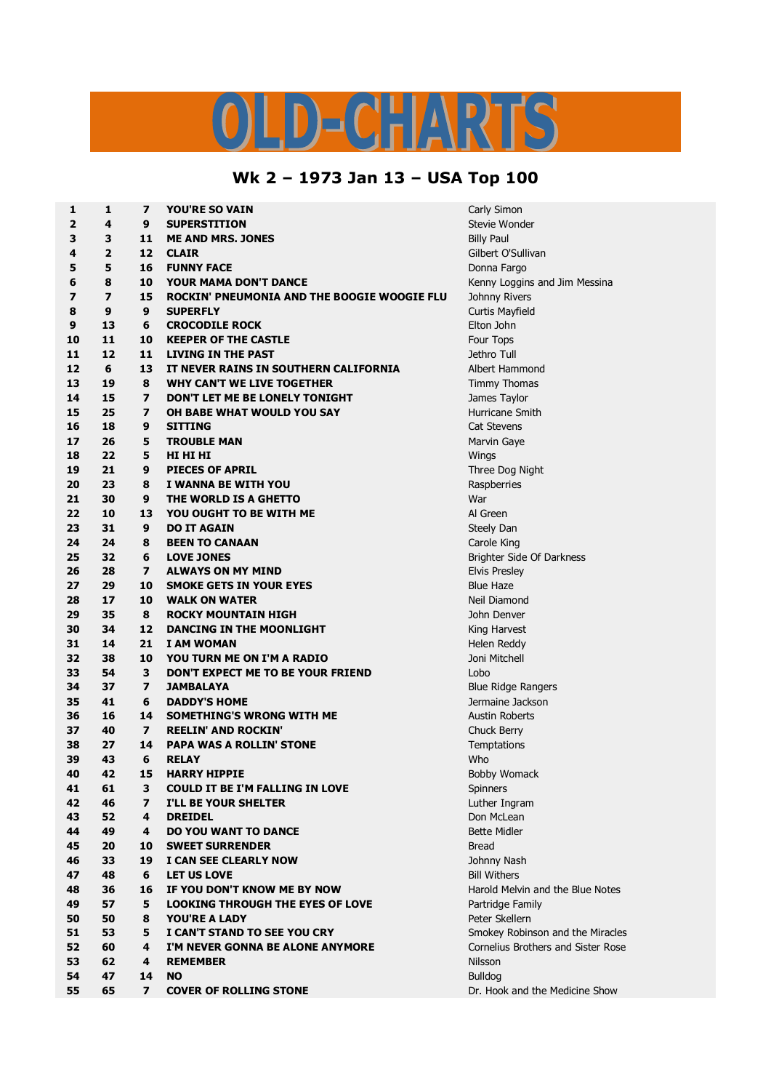## $\overline{\mathbf{A}}$

## **Wk 2 – 1973 Jan 13 – USA Top 100**

| 1                       | 1                       | $\overline{\mathbf{z}}$ | <b>YOU'RE SO VAIN</b>                       | Carly Simon          |
|-------------------------|-------------------------|-------------------------|---------------------------------------------|----------------------|
| $\overline{\mathbf{2}}$ | 4                       | 9                       | <b>SUPERSTITION</b>                         | Stevie Wonder        |
| 3                       | 3                       | 11                      | <b>ME AND MRS. JONES</b>                    | <b>Billy Paul</b>    |
| 4                       | $\overline{2}$          | 12                      | <b>CLAIR</b>                                | Gilbert O'Sulliva    |
| 5                       | 5                       | 16                      | <b>FUNNY FACE</b>                           | Donna Fargo          |
| 6                       | 8                       | 10                      | <b>YOUR MAMA DON'T DANCE</b>                | Kenny Loggins a      |
| $\overline{ }$          | $\overline{\mathbf{z}}$ | 15                      | ROCKIN' PNEUMONIA AND THE BOOGIE WOOGIE FLU | Johnny Rivers        |
| 8                       | 9                       | $\mathbf{9}$            | <b>SUPERFLY</b>                             | Curtis Mayfield      |
| 9                       | 13                      | 6                       | <b>CROCODILE ROCK</b>                       | Elton John           |
| 10                      | 11                      | 10                      | <b>KEEPER OF THE CASTLE</b>                 | Four Tops            |
| 11                      | 12                      | 11                      | <b>LIVING IN THE PAST</b>                   | Jethro Tull          |
| 12                      | 6                       | 13                      | IT NEVER RAINS IN SOUTHERN CALIFORNIA       | Albert Hammon        |
| 13                      | 19                      | 8                       | <b>WHY CAN'T WE LIVE TOGETHER</b>           | Timmy Thomas         |
| 14                      | 15                      | $\overline{ }$          | DON'T LET ME BE LONELY TONIGHT              | James Taylor         |
| 15                      | 25                      | $\overline{z}$          | OH BABE WHAT WOULD YOU SAY                  | Hurricane Smith      |
| 16                      | 18                      | 9                       | <b>SITTING</b>                              | <b>Cat Stevens</b>   |
| 17                      | 26                      | 5                       | <b>TROUBLE MAN</b>                          | Marvin Gaye          |
| 18                      | 22                      | 5                       | HI HI HI                                    | Wings                |
| 19                      | 21                      | 9                       | <b>PIECES OF APRIL</b>                      | Three Dog Nigh       |
| 20                      | 23                      | 8                       | <b>I WANNA BE WITH YOU</b>                  | Raspberries          |
| 21                      | 30                      | 9                       | THE WORLD IS A GHETTO                       | War                  |
| 22                      | 10                      | 13                      | YOU OUGHT TO BE WITH ME                     | Al Green             |
| 23                      | 31                      | 9                       | <b>DO IT AGAIN</b>                          | Steely Dan           |
| 24                      | 24                      | 8                       | <b>BEEN TO CANAAN</b>                       | Carole King          |
| 25                      | 32                      | 6                       | <b>LOVE JONES</b>                           | Brighter Side Of     |
| 26                      | 28                      | $\overline{ }$          | <b>ALWAYS ON MY MIND</b>                    | <b>Elvis Presley</b> |
| 27                      | 29                      | 10                      | <b>SMOKE GETS IN YOUR EYES</b>              | <b>Blue Haze</b>     |
| 28                      | 17                      | 10                      | <b>WALK ON WATER</b>                        | Neil Diamond         |
| 29                      | 35                      | 8                       | <b>ROCKY MOUNTAIN HIGH</b>                  | John Denver          |
| 30                      | 34                      | 12                      | DANCING IN THE MOONLIGHT                    | King Harvest         |
| 31                      | 14                      | 21                      | <b>I AM WOMAN</b>                           | Helen Reddy          |
| 32                      | 38                      | 10                      | YOU TURN ME ON I'M A RADIO                  | Joni Mitchell        |
| 33                      | 54                      | 3                       | DON'T EXPECT ME TO BE YOUR FRIEND           | Lobo                 |
| 34                      | 37                      | $\overline{\mathbf{z}}$ | <b>JAMBALAYA</b>                            | Blue Ridge Rang      |
| 35                      | 41                      | 6                       | <b>DADDY'S HOME</b>                         | Jermaine Jackso      |
| 36                      | 16                      | 14                      | SOMETHING'S WRONG WITH ME                   | Austin Roberts       |
| 37                      | 40                      | $\overline{ }$          | <b>REELIN' AND ROCKIN'</b>                  | Chuck Berry          |
|                         |                         |                         |                                             |                      |
| 38                      | 27                      | 14                      | <b>PAPA WAS A ROLLIN' STONE</b>             | Temptations          |
| 39                      | 43<br>42                | 6                       | <b>RELAY</b>                                | Who                  |
| 40                      |                         | 15                      | <b>HARRY HIPPIE</b>                         | <b>Bobby Womack</b>  |
| 41                      | 61                      | 3                       | <b>COULD IT BE I'M FALLING IN LOVE</b>      | Spinners             |
| 42                      | 46                      | 7                       | <b>I'LL BE YOUR SHELTER</b>                 | Luther Ingram        |
| 43                      | 52                      | 4                       | <b>DREIDEL</b>                              | Don McLean           |
| 44                      | 49                      | 4                       | <b>DO YOU WANT TO DANCE</b>                 | <b>Bette Midler</b>  |
| 45                      | 20                      | 10                      | <b>SWEET SURRENDER</b>                      | <b>Bread</b>         |
| 46                      | 33                      | 19                      | <b>I CAN SEE CLEARLY NOW</b>                | Johnny Nash          |
| 47                      | 48                      | 6                       | <b>LET US LOVE</b>                          | <b>Bill Withers</b>  |
| 48                      | 36                      | 16                      | IF YOU DON'T KNOW ME BY NOW                 | Harold Melvin a      |
| 49                      | 57                      | 5                       | <b>LOOKING THROUGH THE EYES OF LOVE</b>     | Partridge Family     |
| 50                      | 50                      | 8                       | YOU'RE A LADY                               | Peter Skellern       |
| 51                      | 53                      | 5                       | I CAN'T STAND TO SEE YOU CRY                | Smokey Robinso       |
| 52                      | 60                      | 4                       | I'M NEVER GONNA BE ALONE ANYMORE            | Cornelius Brothe     |
| 53                      | 62                      | 4                       | <b>REMEMBER</b>                             | Nilsson              |
| 54                      | 47                      | 14                      | <b>NO</b>                                   | <b>Bulldog</b>       |
| 55                      | 65                      | $\overline{ }$          | <b>COVER OF ROLLING STONE</b>               | Dr. Hook and th      |
|                         |                         |                         |                                             |                      |

 **2 12 CLAIR** Gilbert O'Sullivan Loggins and Jim Messina Hammond Dog Night **32 6 LOVE JONES** Brighter Side Of Darkness **37 7 JAMBALAYA** Blue Ridge Rangers **41 6 DADDY'S HOME** Jermaine Jackson **36 16 IF YOU DON'T KNOW ME BY NOW** Harold Melvin and the Blue Notes **A EXEC EXEC EXEC 53 5 I CAN'T STAND TO SEE YOU CRY** Smokey Robinson and the Miracles **60 4 I'M NEVER GONNA BE ALONE ANYMORE** Cornelius Brothers and Sister Rose **65 7 COVER OF ROLLING STONE** Dr. Hook and the Medicine Show